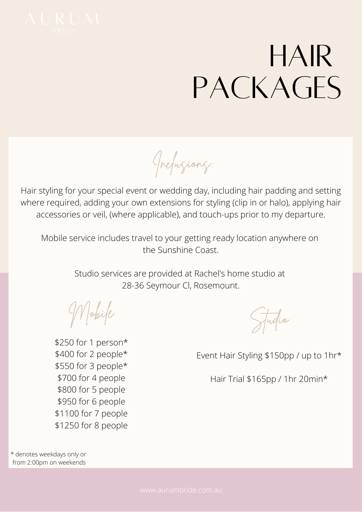

## HAIR PACKAGES

Inclusions:

Hair styling for your special event or wedding day, including hair padding and setting where required, adding your own extensions for styling (clip in or halo), applying hair accessories or veil, (where applicable), and touch-ups prior to my departure.

Mobile service includes travel to your getting ready location anywhere on the Sunshine Coast.

> Studio services are provided at Rachel's home studio at 28-36 Seymour Cl, Rosemount.

Mobile

\$250 for 1 person\* \$400 for 2 people\* \$550 for 3 people\* \$700 for 4 people \$800 for 5 people \$950 for 6 people \$1100 for 7 people \$1250 for 8 people

Event Hair Styling \$150pp / up to 1hr\*

Hair Trial \$165pp / 1hr 20min\*

Studio

\* denotes weekdays only or from 2:00pm on weekends